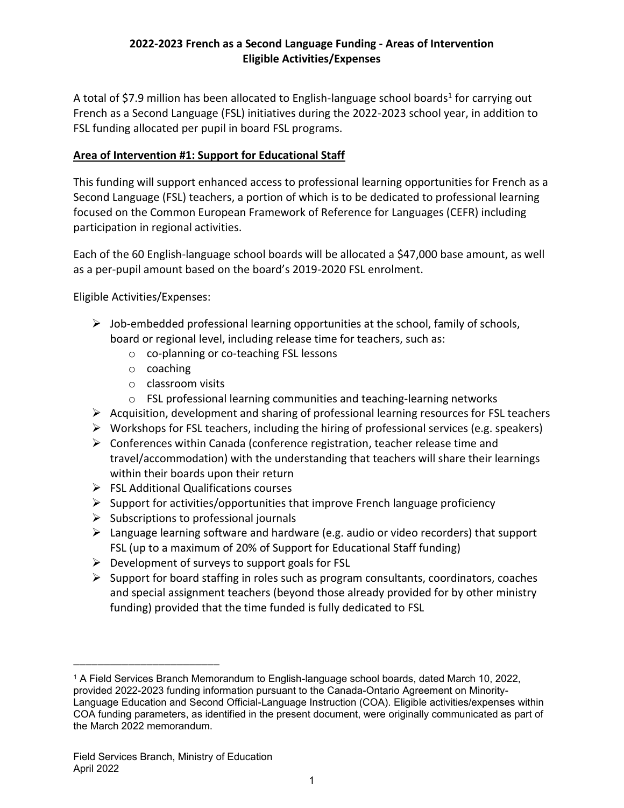# **2022-2023 French as a Second Language Funding - Areas of Intervention Eligible Activities/Expenses**

A total of \$7.9 million has been allocated to English-language school boards<sup>1</sup> for carrying out French as a Second Language (FSL) initiatives during the 2022-2023 school year, in addition to FSL funding allocated per pupil in board FSL programs.

# **Area of Intervention #1: Support for Educational Staff**

This funding will support enhanced access to professional learning opportunities for French as a Second Language (FSL) teachers, a portion of which is to be dedicated to professional learning focused on the Common European Framework of Reference for Languages (CEFR) including participation in regional activities.

Each of the 60 English-language school boards will be allocated a \$47,000 base amount, as well as a per-pupil amount based on the board's 2019-2020 FSL enrolment.

Eligible Activities/Expenses:

- $\triangleright$  Job-embedded professional learning opportunities at the school, family of schools, board or regional level, including release time for teachers, such as:
	- o co-planning or co-teaching FSL lessons
	- o coaching
	- o classroom visits
	- o FSL professional learning communities and teaching-learning networks
- $\triangleright$  Acquisition, development and sharing of professional learning resources for FSL teachers
- $\triangleright$  Workshops for FSL teachers, including the hiring of professional services (e.g. speakers)
- ➢ Conferences within Canada (conference registration, teacher release time and travel/accommodation) with the understanding that teachers will share their learnings within their boards upon their return
- ➢ FSL Additional Qualifications courses
- $\triangleright$  Support for activities/opportunities that improve French language proficiency
- $\triangleright$  Subscriptions to professional journals
- $\triangleright$  Language learning software and hardware (e.g. audio or video recorders) that support FSL (up to a maximum of 20% of Support for Educational Staff funding)
- $\triangleright$  Development of surveys to support goals for FSL
- ➢ Support for board staffing in roles such as program consultants, coordinators, coaches and special assignment teachers (beyond those already provided for by other ministry funding) provided that the time funded is fully dedicated to FSL

\_\_\_\_\_\_\_\_\_\_\_\_\_\_\_\_\_\_\_\_\_\_\_\_

<sup>1</sup> A Field Services Branch Memorandum to English-language school boards, dated March 10, 2022, provided 2022-2023 funding information pursuant to the Canada-Ontario Agreement on Minority-Language Education and Second Official-Language Instruction (COA). Eligible activities/expenses within COA funding parameters, as identified in the present document, were originally communicated as part of the March 2022 memorandum.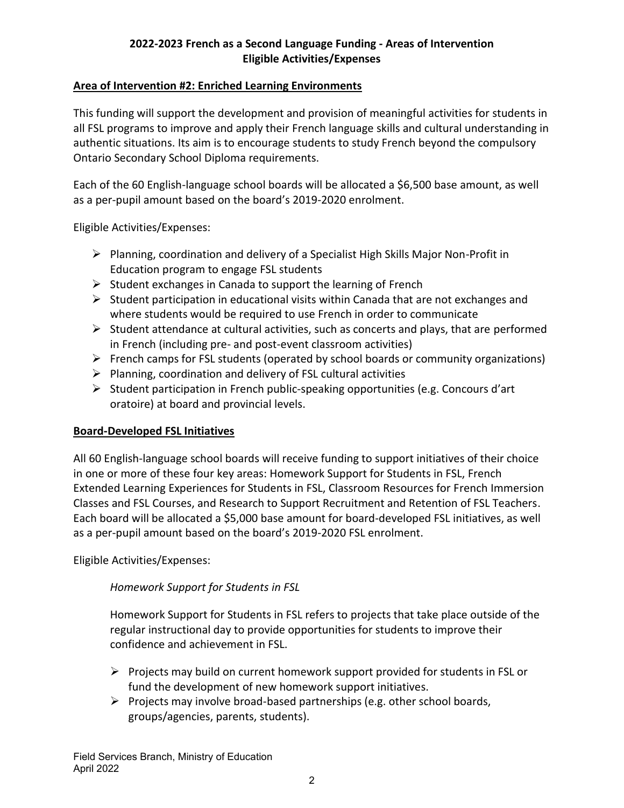# **2022-2023 French as a Second Language Funding - Areas of Intervention Eligible Activities/Expenses**

#### **Area of Intervention #2: Enriched Learning Environments**

This funding will support the development and provision of meaningful activities for students in all FSL programs to improve and apply their French language skills and cultural understanding in authentic situations. Its aim is to encourage students to study French beyond the compulsory Ontario Secondary School Diploma requirements.

Each of the 60 English-language school boards will be allocated a \$6,500 base amount, as well as a per-pupil amount based on the board's 2019-2020 enrolment.

Eligible Activities/Expenses:

- ➢ Planning, coordination and delivery of a Specialist High Skills Major Non-Profit in Education program to engage FSL students
- $\triangleright$  Student exchanges in Canada to support the learning of French
- ➢ Student participation in educational visits within Canada that are not exchanges and where students would be required to use French in order to communicate
- $\triangleright$  Student attendance at cultural activities, such as concerts and plays, that are performed in French (including pre- and post-event classroom activities)
- ➢ French camps for FSL students (operated by school boards or community organizations)
- $\triangleright$  Planning, coordination and delivery of FSL cultural activities
- ➢ Student participation in French public-speaking opportunities (e.g. Concours d'art oratoire) at board and provincial levels.

### **Board-Developed FSL Initiatives**

All 60 English-language school boards will receive funding to support initiatives of their choice in one or more of these four key areas: Homework Support for Students in FSL, French Extended Learning Experiences for Students in FSL, Classroom Resources for French Immersion Classes and FSL Courses, and Research to Support Recruitment and Retention of FSL Teachers. Each board will be allocated a \$5,000 base amount for board-developed FSL initiatives, as well as a per-pupil amount based on the board's 2019-2020 FSL enrolment.

Eligible Activities/Expenses:

*Homework Support for Students in FSL*

Homework Support for Students in FSL refers to projects that take place outside of the regular instructional day to provide opportunities for students to improve their confidence and achievement in FSL.

- ➢ Projects may build on current homework support provided for students in FSL or fund the development of new homework support initiatives.
- $\triangleright$  Projects may involve broad-based partnerships (e.g. other school boards, groups/agencies, parents, students).